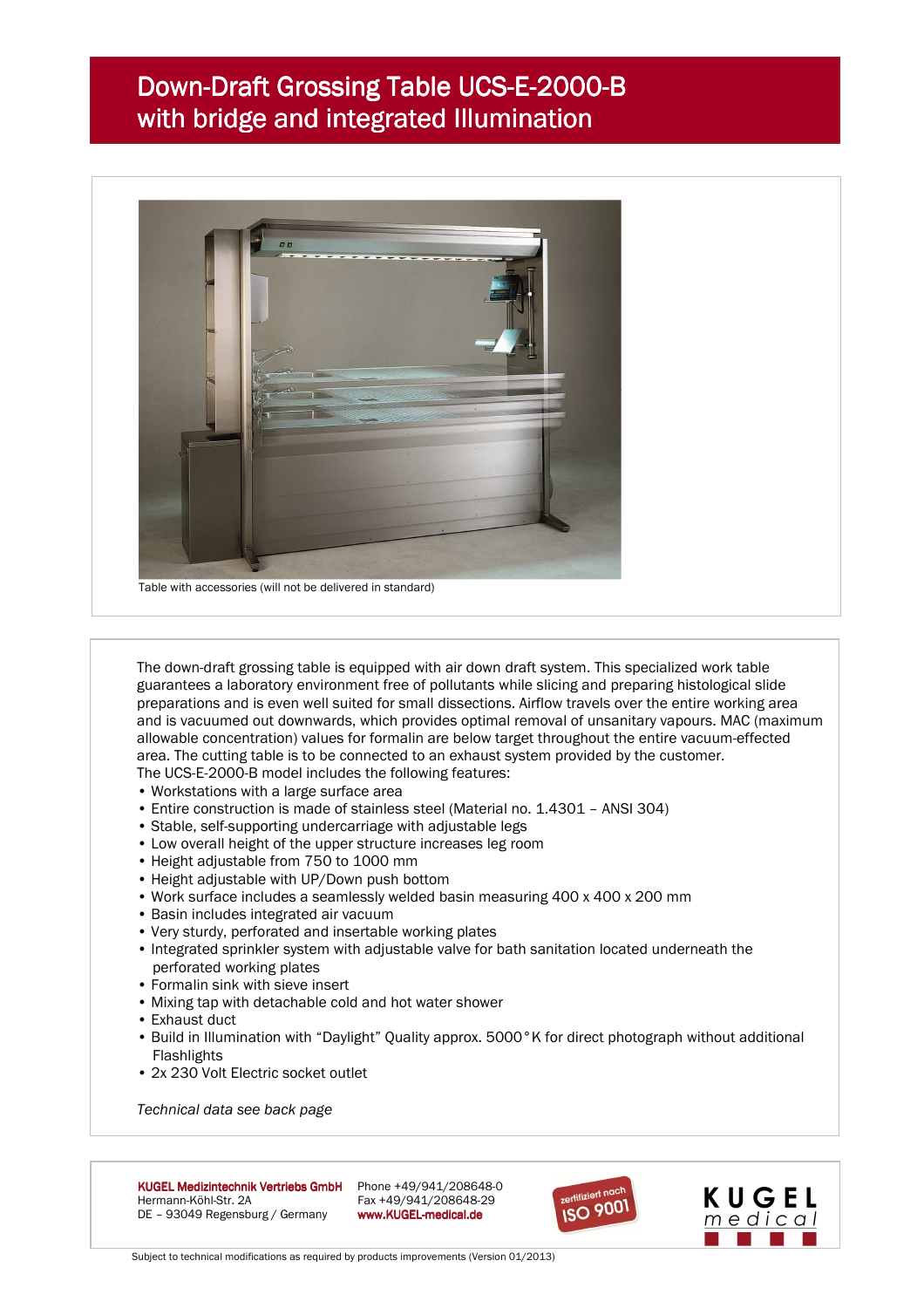## Down-Draft Grossing Table UCS-E-2000-B with bridge and integrated Illumination



 The down-draft grossing table is equipped with air down draft system. This specialized work table guarantees a laboratory environment free of pollutants while slicing and preparing histological slide preparations and is even well suited for small dissections. Airflow travels over the entire working area and is vacuumed out downwards, which provides optimal removal of unsanitary vapours. MAC (maximum allowable concentration) values for formalin are below target throughout the entire vacuum-effected area. The cutting table is to be connected to an exhaust system provided by the customer.

The UCS-E-2000-B model includes the following features:

- Workstations with a large surface area
- Entire construction is made of stainless steel (Material no. 1.4301 ANSI 304)
- Stable, self-supporting undercarriage with adjustable legs
- Low overall height of the upper structure increases leg room
- Height adjustable from 750 to 1000 mm
- Height adjustable with UP/Down push bottom
- Work surface includes a seamlessly welded basin measuring 400 x 400 x 200 mm
- Basin includes integrated air vacuum
- Very sturdy, perforated and insertable working plates
- Integrated sprinkler system with adjustable valve for bath sanitation located underneath the perforated working plates
- Formalin sink with sieve insert
- Mixing tap with detachable cold and hot water shower
- Exhaust duct
- Build in Illumination with "Daylight" Quality approx. 5000°K for direct photograph without additional Flashlights
- 2x 230 Volt Electric socket outlet

*Technical data see back page* 



Fax +49/941/208648-29





Subject to technical modifications as required by products improvements (Version 01/2013)